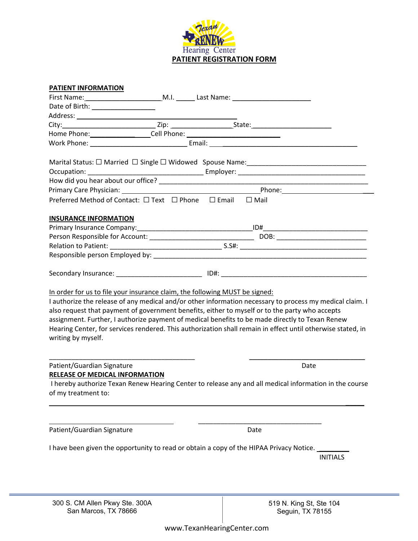

| PATIENT INFORMATION                                                                               |  |                                                                                                                                                                                                                                                                                                                                                                                                                              |  |
|---------------------------------------------------------------------------------------------------|--|------------------------------------------------------------------------------------------------------------------------------------------------------------------------------------------------------------------------------------------------------------------------------------------------------------------------------------------------------------------------------------------------------------------------------|--|
|                                                                                                   |  |                                                                                                                                                                                                                                                                                                                                                                                                                              |  |
| Date of Birth: ____________________                                                               |  |                                                                                                                                                                                                                                                                                                                                                                                                                              |  |
|                                                                                                   |  |                                                                                                                                                                                                                                                                                                                                                                                                                              |  |
|                                                                                                   |  |                                                                                                                                                                                                                                                                                                                                                                                                                              |  |
| Home Phone: Cell Phone: 2000 Community Community Community Cell Phone:                            |  |                                                                                                                                                                                                                                                                                                                                                                                                                              |  |
|                                                                                                   |  |                                                                                                                                                                                                                                                                                                                                                                                                                              |  |
|                                                                                                   |  |                                                                                                                                                                                                                                                                                                                                                                                                                              |  |
|                                                                                                   |  |                                                                                                                                                                                                                                                                                                                                                                                                                              |  |
|                                                                                                   |  |                                                                                                                                                                                                                                                                                                                                                                                                                              |  |
|                                                                                                   |  |                                                                                                                                                                                                                                                                                                                                                                                                                              |  |
| Preferred Method of Contact: □ Text □ Phone □ Email □ Mail                                        |  |                                                                                                                                                                                                                                                                                                                                                                                                                              |  |
|                                                                                                   |  |                                                                                                                                                                                                                                                                                                                                                                                                                              |  |
| <b>INSURANCE INFORMATION</b>                                                                      |  |                                                                                                                                                                                                                                                                                                                                                                                                                              |  |
|                                                                                                   |  |                                                                                                                                                                                                                                                                                                                                                                                                                              |  |
|                                                                                                   |  |                                                                                                                                                                                                                                                                                                                                                                                                                              |  |
|                                                                                                   |  |                                                                                                                                                                                                                                                                                                                                                                                                                              |  |
|                                                                                                   |  |                                                                                                                                                                                                                                                                                                                                                                                                                              |  |
|                                                                                                   |  |                                                                                                                                                                                                                                                                                                                                                                                                                              |  |
| In order for us to file your insurance claim, the following MUST be signed:<br>writing by myself. |  | I authorize the release of any medical and/or other information necessary to process my medical claim. I<br>also request that payment of government benefits, either to myself or to the party who accepts<br>assignment. Further, I authorize payment of medical benefits to be made directly to Texan Renew<br>Hearing Center, for services rendered. This authorization shall remain in effect until otherwise stated, in |  |
| Patient/Guardian Signature                                                                        |  | Date                                                                                                                                                                                                                                                                                                                                                                                                                         |  |
| <b>RELEASE OF MEDICAL INFORMATION</b>                                                             |  |                                                                                                                                                                                                                                                                                                                                                                                                                              |  |
| of my treatment to:                                                                               |  | I hereby authorize Texan Renew Hearing Center to release any and all medical information in the course                                                                                                                                                                                                                                                                                                                       |  |
|                                                                                                   |  |                                                                                                                                                                                                                                                                                                                                                                                                                              |  |
| Patient/Guardian Signature                                                                        |  | Date                                                                                                                                                                                                                                                                                                                                                                                                                         |  |
|                                                                                                   |  |                                                                                                                                                                                                                                                                                                                                                                                                                              |  |
|                                                                                                   |  | I have been given the opportunity to read or obtain a copy of the HIPAA Privacy Notice. __                                                                                                                                                                                                                                                                                                                                   |  |
|                                                                                                   |  | <b>INITIALS</b>                                                                                                                                                                                                                                                                                                                                                                                                              |  |
|                                                                                                   |  |                                                                                                                                                                                                                                                                                                                                                                                                                              |  |
|                                                                                                   |  |                                                                                                                                                                                                                                                                                                                                                                                                                              |  |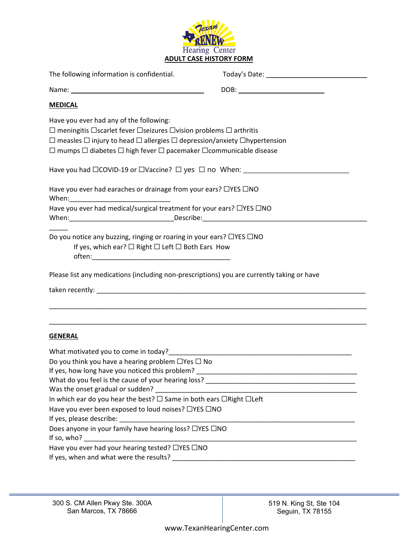

| The following information is confidential.                                                                                                                                                                                                                                                                                                      |                                  |  |  |  |  |
|-------------------------------------------------------------------------------------------------------------------------------------------------------------------------------------------------------------------------------------------------------------------------------------------------------------------------------------------------|----------------------------------|--|--|--|--|
|                                                                                                                                                                                                                                                                                                                                                 | DOB: ___________________________ |  |  |  |  |
| <b>MEDICAL</b>                                                                                                                                                                                                                                                                                                                                  |                                  |  |  |  |  |
| Have you ever had any of the following:<br>$\Box$ meningitis $\Box$ scarlet fever $\Box$ seizures $\Box$ vision problems $\Box$ arthritis<br>$\Box$ measles $\Box$ injury to head $\Box$ allergies $\Box$ depression/anxiety $\Box$ hypertension<br>$\Box$ mumps $\Box$ diabetes $\Box$ high fever $\Box$ pacemaker $\Box$ communicable disease |                                  |  |  |  |  |
| Have you had □COVID-19 or □Vaccine? □ yes □ no When: ___________________________                                                                                                                                                                                                                                                                |                                  |  |  |  |  |
| Have you ever had earaches or drainage from your ears? □YES □NO                                                                                                                                                                                                                                                                                 |                                  |  |  |  |  |
| Have you ever had medical/surgical treatment for your ears? □YES □NO                                                                                                                                                                                                                                                                            |                                  |  |  |  |  |
| Do you notice any buzzing, ringing or roaring in your ears? □YES □NO<br>If yes, which ear? $\Box$ Right $\Box$ Left $\Box$ Both Ears How                                                                                                                                                                                                        |                                  |  |  |  |  |
| Please list any medications (including non-prescriptions) you are currently taking or have                                                                                                                                                                                                                                                      |                                  |  |  |  |  |
|                                                                                                                                                                                                                                                                                                                                                 |                                  |  |  |  |  |
|                                                                                                                                                                                                                                                                                                                                                 |                                  |  |  |  |  |
| <b>GENERAL</b>                                                                                                                                                                                                                                                                                                                                  |                                  |  |  |  |  |
|                                                                                                                                                                                                                                                                                                                                                 |                                  |  |  |  |  |
| Do you think you have a hearing problem $\Box$ Yes $\Box$ No                                                                                                                                                                                                                                                                                    |                                  |  |  |  |  |
| If yes, how long have you noticed this problem?                                                                                                                                                                                                                                                                                                 |                                  |  |  |  |  |
|                                                                                                                                                                                                                                                                                                                                                 |                                  |  |  |  |  |
| In which ear do you hear the best? $\square$ Same in both ears $\square$ Right $\square$ Left                                                                                                                                                                                                                                                   |                                  |  |  |  |  |
| Have you ever been exposed to loud noises? □YES □NO                                                                                                                                                                                                                                                                                             |                                  |  |  |  |  |
|                                                                                                                                                                                                                                                                                                                                                 |                                  |  |  |  |  |
| Does anyone in your family have hearing loss? □YES □NO                                                                                                                                                                                                                                                                                          |                                  |  |  |  |  |
| Have you ever had your hearing tested? □YES □NO                                                                                                                                                                                                                                                                                                 |                                  |  |  |  |  |
|                                                                                                                                                                                                                                                                                                                                                 |                                  |  |  |  |  |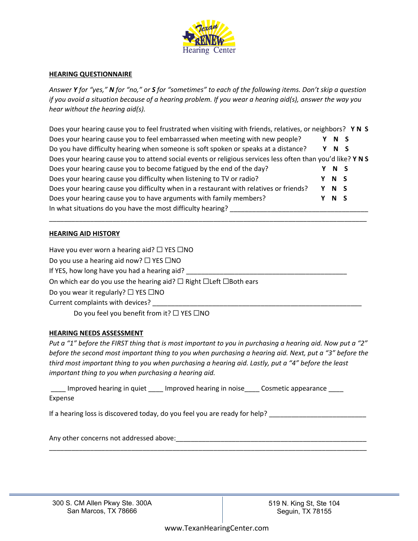

## **HEARING QUESTIONNAIRE**

Answer Y for "yes," N for "no," or S for "sometimes" to each of the following items. Don't skip a question if you avoid a situation because of a hearing problem. If you wear a hearing aid(s), answer the way you *hear without the hearing aid(s).*

Does your hearing cause you to feel frustrated when visiting with friends, relatives, or neighbors? **Y N S** Does your hearing cause you to feel embarrassed when meeting with new people? **Y N S** Do you have difficulty hearing when someone is soft spoken or speaks at a distance? **Y N S** Does your hearing cause you to attend social events or religious services less often than you'd like? **Y N S** Does your hearing cause you to become fatigued by the end of the day? **Y N S** Does your hearing cause you difficulty when listening to TV or radio? **Y N S** Does your hearing cause you difficulty when in a restaurant with relatives or friends? **Y N S** Does your hearing cause you to have arguments with family members? **Y N S** In what situations do you have the most difficulty hearing?

\_\_\_\_\_\_\_\_\_\_\_\_\_\_\_\_\_\_\_\_\_\_\_\_\_\_\_\_\_\_\_\_\_\_\_\_\_\_\_\_\_\_\_\_\_\_\_\_\_\_\_\_\_\_\_\_\_\_\_\_\_\_\_\_\_\_\_\_\_\_\_\_\_\_\_\_\_\_\_\_\_\_\_\_\_

## **HEARING AID HISTORY**

Have you ever worn a hearing aid?  $\Box$  YES  $\Box$ NO Do you use a hearing aid now? □ YES □NO If YES, how long have you had a hearing aid? On which ear do you use the hearing aid?  $\Box$  Right  $\Box$  Left  $\Box$  Both ears Do you wear it regularly? □ YES □NO Current complaints with devices?

Do you feel you benefit from it? □ YES □NO

## **HEARING NEEDS ASSESSMENT**

Put a "1" before the FIRST thing that is most important to you in purchasing a hearing aid. Now put a "2" before the second most important thing to you when purchasing a hearing aid. Next, put a "3" before the third most important thing to you when purchasing a hearing aid. Lastly, put a "4" before the least *important thing to you when purchasing a hearing aid.*

\_\_\_\_\_\_\_\_\_\_\_\_\_\_\_\_\_\_\_\_\_\_\_\_\_\_\_\_\_\_\_\_\_\_\_\_\_\_\_\_\_\_\_\_\_\_\_\_\_\_\_\_\_\_\_\_\_\_\_\_\_\_\_\_\_\_\_\_\_\_\_\_\_\_\_\_\_\_\_\_\_\_\_\_\_

Improved hearing in quiet lmproved hearing in noise Cosmetic appearance Expense

If a hearing loss is discovered today, do you feel you are ready for help?

Any other concerns not addressed above:  $\Box$ 

300 S. CM Allen Pkwy Ste. 300A San Marcos, TX 78666

519 N. King St, Ste 104 Seguin, TX 78155